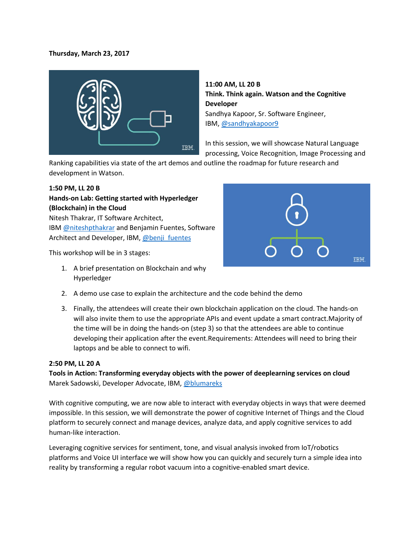### **Thursday, March 23, 2017**



**11:00 AM, LL 20 B Think. Think again. Watson and the Cognitive Developer** Sandhya Kapoor, Sr. Software Engineer, IBM, [@sandhyakapoor9](https://twitter.com/sandhyakapoor9)

In this session, we will showcase Natural Language processing, Voice Recognition, Image Processing and

Ranking capabilities via state of the art demos and outline the roadmap for future research and development in Watson.

### **1:50 PM, LL 20 B**

# **Hands-on Lab: Getting started with Hyperledger (Blockchain) in the Cloud**

Nitesh Thakrar, IT Software Architect, IBM [@niteshpthakrar](https://twitter.com/niteshpthakrar?lang=en) and Benjamin Fuentes, Software Architect and Developer, IBM, [@benji\\_fuentes](https://twitter.com/benji_fuentes)

This workshop will be in 3 stages:

1. A brief presentation on Blockchain and why Hyperledger



- 2. A demo use case to explain the architecture and the code behind the demo
- 3. Finally, the attendees will create their own blockchain application on the cloud. The hands-on will also invite them to use the appropriate APIs and event update a smart contract.Majority of the time will be in doing the hands-on (step 3) so that the attendees are able to continue developing their application after the event.Requirements: Attendees will need to bring their laptops and be able to connect to wifi.

### **2:50 PM, LL 20 A**

**Tools in Action: Transforming everyday objects with the power of deeplearning services on cloud** Marek Sadowski, Developer Advocate, IBM[, @blumareks](https://twitter.com/blumareks)

With cognitive computing, we are now able to interact with everyday objects in ways that were deemed impossible. In this session, we will demonstrate the power of cognitive Internet of Things and the Cloud platform to securely connect and manage devices, analyze data, and apply cognitive services to add human-like interaction.

Leveraging cognitive services for sentiment, tone, and visual analysis invoked from IoT/robotics platforms and Voice UI interface we will show how you can quickly and securely turn a simple idea into reality by transforming a regular robot vacuum into a cognitive-enabled smart device.